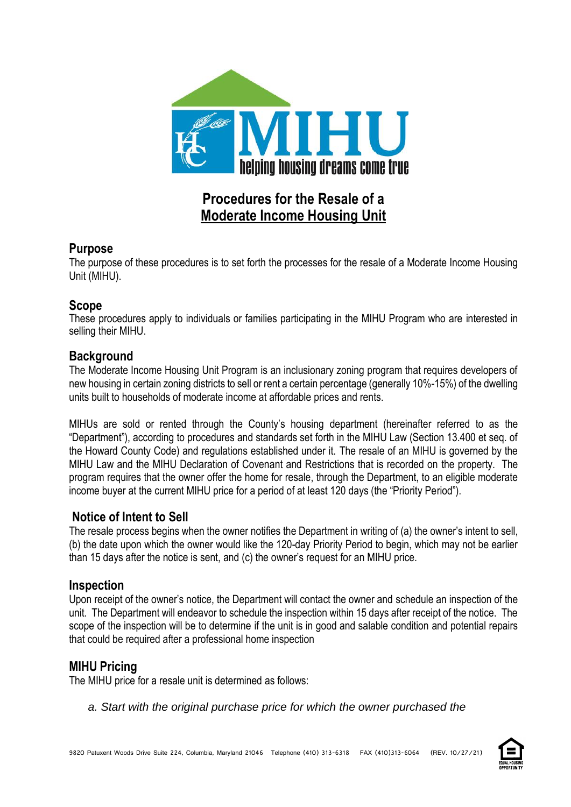

# **Procedures for the Resale of a Moderate Income Housing Unit**

### **Purpose**

The purpose of these procedures is to set forth the processes for the resale of a Moderate Income Housing Unit (MIHU).

### **Scope**

These procedures apply to individuals or families participating in the MIHU Program who are interested in selling their MIHU.

# **Background**

The Moderate Income Housing Unit Program is an inclusionary zoning program that requires developers of new housing in certain zoning districts to sell or rent a certain percentage (generally 10%-15%) of the dwelling units built to households of moderate income at affordable prices and rents.

MIHUs are sold or rented through the County's housing department (hereinafter referred to as the "Department"), according to procedures and standards set forth in the MIHU Law (Section 13.400 et seq. of the Howard County Code) and regulations established under it. The resale of an MIHU is governed by the MIHU Law and the MIHU Declaration of Covenant and Restrictions that is recorded on the property. The program requires that the owner offer the home for resale, through the Department, to an eligible moderate income buyer at the current MIHU price for a period of at least 120 days (the "Priority Period").

# **Notice of Intent to Sell**

The resale process begins when the owner notifies the Department in writing of (a) the owner's intent to sell, (b) the date upon which the owner would like the 120-day Priority Period to begin, which may not be earlier than 15 days after the notice is sent, and (c) the owner's request for an MIHU price.

#### **Inspection**

Upon receipt of the owner's notice, the Department will contact the owner and schedule an inspection of the unit. The Department will endeavor to schedule the inspection within 15 days after receipt of the notice. The scope of the inspection will be to determine if the unit is in good and salable condition and potential repairs that could be required after a professional home inspection

# **MIHU Pricing**

The MIHU price for a resale unit is determined as follows:

*a. Start with the original purchase price for which the owner purchased the*

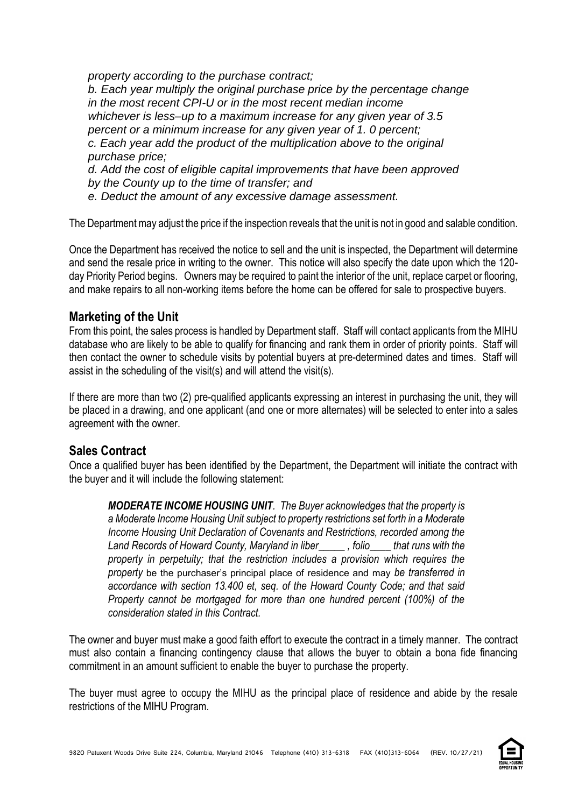*property according to the purchase contract;*

*b. Each year multiply the original purchase price by the percentage change in the most recent CPI-U or in the most recent median income whichever is less–up to a maximum increase for any given year of 3.5 percent or a minimum increase for any given year of 1. 0 percent; c. Each year add the product of the multiplication above to the original purchase price;*

*d. Add the cost of eligible capital improvements that have been approved by the County up to the time of transfer; and*

*e. Deduct the amount of any excessive damage assessment.*

The Department may adjust the price if the inspection reveals that the unit is not in good and salable condition.

Once the Department has received the notice to sell and the unit is inspected, the Department will determine and send the resale price in writing to the owner. This notice will also specify the date upon which the 120 day Priority Period begins. Owners may be required to paint the interior of the unit, replace carpet or flooring, and make repairs to all non-working items before the home can be offered for sale to prospective buyers.

#### **Marketing of the Unit**

From this point, the sales process is handled by Department staff. Staff will contact applicants from the MIHU database who are likely to be able to qualify for financing and rank them in order of priority points. Staff will then contact the owner to schedule visits by potential buyers at pre-determined dates and times. Staff will assist in the scheduling of the visit(s) and will attend the visit(s).

If there are more than two (2) pre-qualified applicants expressing an interest in purchasing the unit, they will be placed in a drawing, and one applicant (and one or more alternates) will be selected to enter into a sales agreement with the owner.

# **Sales Contract**

Once a qualified buyer has been identified by the Department, the Department will initiate the contract with the buyer and it will include the following statement:

*MODERATE INCOME HOUSING UNIT. The Buyer acknowledges that the property is a Moderate Income Housing Unit subject to property restrictions set forth in a Moderate Income Housing Unit Declaration of Covenants and Restrictions, recorded among the Land Records of Howard County, Maryland in liber\_\_\_\_\_ , folio\_\_\_\_ that runs with the property in perpetuity; that the restriction includes a provision which requires the property* be the purchaser's principal place of residence and may *be transferred in accordance with section 13.400 et, seq. of the Howard County Code; and that said Property cannot be mortgaged for more than one hundred percent (100%) of the consideration stated in this Contract.*

The owner and buyer must make a good faith effort to execute the contract in a timely manner. The contract must also contain a financing contingency clause that allows the buyer to obtain a bona fide financing commitment in an amount sufficient to enable the buyer to purchase the property.

The buyer must agree to occupy the MIHU as the principal place of residence and abide by the resale restrictions of the MIHU Program.